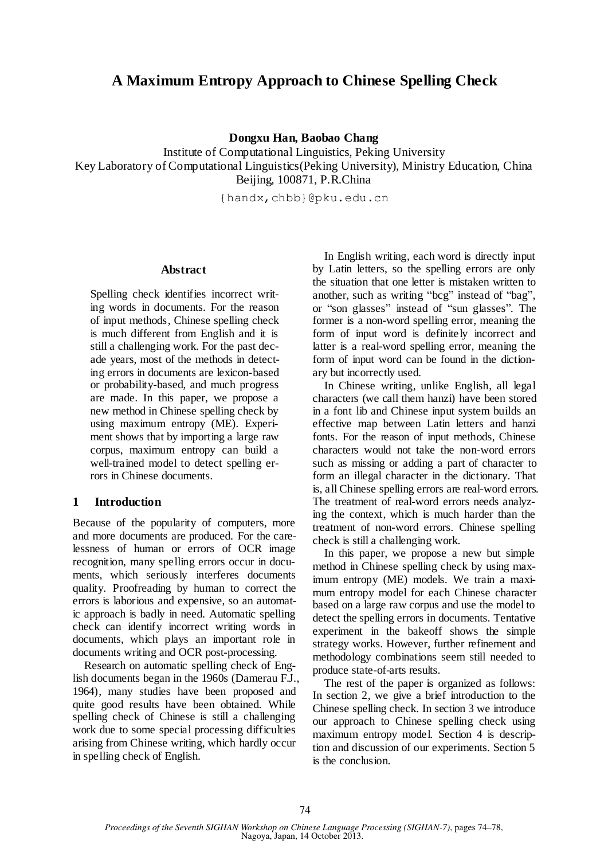# **A Maximum Entropy Approach to Chinese Spelling Check**

**Dongxu Han, Baobao Chang**

Institute of Computational Linguistics, Peking University Key Laboratory of Computational Linguistics(Peking University), Ministry Education, China Beijing, 100871, P.R.China

{handx,chbb}@pku.edu.cn

#### **Abstract**

Spelling check identifies incorrect writing words in documents. For the reason of input methods, Chinese spelling check is much different from English and it is still a challenging work. For the past decade years, most of the methods in detecting errors in documents are lexicon-based or probability-based, and much progress are made. In this paper, we propose a new method in Chinese spelling check by using maximum entropy (ME). Experiment shows that by importing a large raw corpus, maximum entropy can build a well-trained model to detect spelling errors in Chinese documents.

#### **1 Introduction**

Because of the popularity of computers, more and more documents are produced. For the carelessness of human or errors of OCR image recognition, many spelling errors occur in documents, which seriously interferes documents quality. Proofreading by human to correct the errors is laborious and expensive, so an automatic approach is badly in need. Automatic spelling check can identify incorrect writing words in documents, which plays an important role in documents writing and OCR post-processing.

Research on automatic spelling check of English documents began in the 1960s (Damerau F.J., 1964), many studies have been proposed and quite good results have been obtained. While spelling check of Chinese is still a challenging work due to some special processing difficulties arising from Chinese writing, which hardly occur in spelling check of English.

In English writing, each word is directly input by Latin letters, so the spelling errors are only the situation that one letter is mistaken written to another, such as writing "bcg" instead of "bag", or "son glasses" instead of "sun glasses". The former is a non-word spelling error, meaning the form of input word is definitely incorrect and latter is a real-word spelling error, meaning the form of input word can be found in the dictionary but incorrectly used.

In Chinese writing, unlike English, all legal characters (we call them hanzi) have been stored in a font lib and Chinese input system builds an effective map between Latin letters and hanzi fonts. For the reason of input methods, Chinese characters would not take the non-word errors such as missing or adding a part of character to form an illegal character in the dictionary. That is, all Chinese spelling errors are real-word errors. The treatment of real-word errors needs analyzing the context, which is much harder than the treatment of non-word errors. Chinese spelling check is still a challenging work.

In this paper, we propose a new but simple method in Chinese spelling check by using maximum entropy (ME) models. We train a maximum entropy model for each Chinese character based on a large raw corpus and use the model to detect the spelling errors in documents. Tentative experiment in the bakeoff shows the simple strategy works. However, further refinement and methodology combinations seem still needed to produce state-of-arts results.

The rest of the paper is organized as follows: In section 2, we give a brief introduction to the Chinese spelling check. In section 3 we introduce our approach to Chinese spelling check using maximum entropy model. Section 4 is description and discussion of our experiments. Section 5 is the conclusion.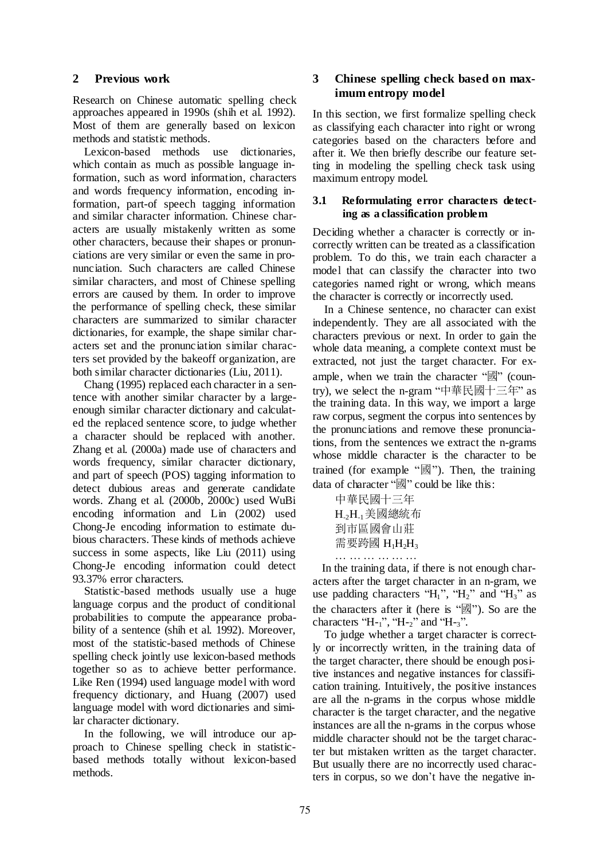### **2 Previous work**

Research on Chinese automatic spelling check approaches appeared in 1990s (shih et al. 1992). Most of them are generally based on lexicon methods and statistic methods.

Lexicon-based methods use dictionaries, which contain as much as possible language information, such as word information, characters and words frequency information, encoding information, part-of speech tagging information and similar character information. Chinese characters are usually mistakenly written as some other characters, because their shapes or pronunciations are very similar or even the same in pronunciation. Such characters are called Chinese similar characters, and most of Chinese spelling errors are caused by them. In order to improve the performance of spelling check, these similar characters are summarized to similar character dictionaries, for example, the shape similar characters set and the pronunciation similar characters set provided by the bakeoff organization, are both similar character dictionaries (Liu, 2011).

Chang (1995) replaced each character in a sentence with another similar character by a largeenough similar character dictionary and calculated the replaced sentence score, to judge whether a character should be replaced with another. Zhang et al. (2000a) made use of characters and words frequency, similar character dictionary, and part of speech (POS) tagging information to detect dubious areas and generate candidate words. Zhang et al. (2000b, 2000c) used WuBi encoding information and Lin (2002) used Chong-Je encoding information to estimate dubious characters. These kinds of methods achieve success in some aspects, like Liu (2011) using Chong-Je encoding information could detect 93.37% error characters.

Statistic-based methods usually use a huge language corpus and the product of conditional probabilities to compute the appearance probability of a sentence (shih et al. 1992). Moreover, most of the statistic-based methods of Chinese spelling check jointly use lexicon-based methods together so as to achieve better performance. Like Ren (1994) used language model with word frequency dictionary, and Huang (2007) used language model with word dictionaries and similar character dictionary.

In the following, we will introduce our approach to Chinese spelling check in statisticbased methods totally without lexicon-based methods.

## **3 Chinese spelling check based on maximum entropy model**

In this section, we first formalize spelling check as classifying each character into right or wrong categories based on the characters before and after it. We then briefly describe our feature setting in modeling the spelling check task using maximum entropy model.

## **3.1 Reformulating error characters detecting as a classification problem**

Deciding whether a character is correctly or incorrectly written can be treated as a classification problem. To do this, we train each character a model that can classify the character into two categories named right or wrong, which means the character is correctly or incorrectly used.

In a Chinese sentence, no character can exist independently. They are all associated with the characters previous or next. In order to gain the whole data meaning, a complete context must be extracted, not just the target character. For example, when we train the character "國" (country), we select the n-gram "中華民國十三年" as the training data. In this way, we import a large raw corpus, segment the corpus into sentences by the pronunciations and remove these pronunciations, from the sentences we extract the n-grams whose middle character is the character to be trained (for example "國"). Then, the training data of character "國" could be like this:

中華民國十三年  $H_{2}H_{1}$ 美國總統布 到市區國會山莊 需要跨國 $H_1H_2H_3$ … … … … … …

 In the training data, if there is not enough characters after the target character in an n-gram, we use padding characters " $H_1$ ", " $H_2$ " and " $H_3$ " as the characters after it (here is "國"). So are the characters "H- $_1$ ", "H- $_2$ " and "H- $_3$ ".

To judge whether a target character is correctly or incorrectly written, in the training data of the target character, there should be enough positive instances and negative instances for classification training. Intuitively, the positive instances are all the n-grams in the corpus whose middle character is the target character, and the negative instances are all the n-grams in the corpus whose middle character should not be the target character but mistaken written as the target character. But usually there are no incorrectly used characters in corpus, so we don't have the negative in-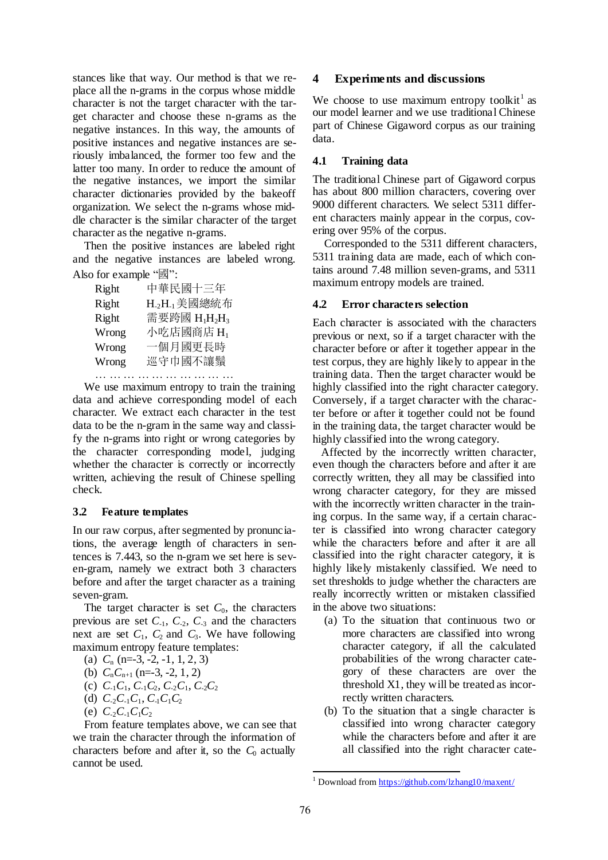stances like that way. Our method is that we replace all the n-grams in the corpus whose middle character is not the target character with the target character and choose these n-grams as the negative instances. In this way, the amounts of positive instances and negative instances are seriously imbalanced, the former too few and the latter too many. In order to reduce the amount of the negative instances, we import the similar character dictionaries provided by the bakeoff organization. We select the n-grams whose middle character is the similar character of the target character as the negative n-grams.

Then the positive instances are labeled right and the negative instances are labeled wrong. Also for example "國":

| Right | 中華民國十三年                                           |
|-------|---------------------------------------------------|
| Right | H. <sub>2</sub> H.」美國總統布                          |
| Right | 需要跨國 H <sub>1</sub> H <sub>2</sub> H <sub>3</sub> |
| Wrong | 小吃店國商店 Hı                                         |
| Wrong | 一個月國更長時                                           |
| Wrong | 巡守巾國不讓鬚                                           |

… … … … … … … … … … … … … …

We use maximum entropy to train the training data and achieve corresponding model of each character. We extract each character in the test data to be the n-gram in the same way and classify the n-grams into right or wrong categories by the character corresponding model, judging whether the character is correctly or incorrectly written, achieving the result of Chinese spelling check.

### **3.2 Feature templates**

In our raw corpus, after segmented by pronunciations, the average length of characters in sentences is 7.443, so the n-gram we set here is seven-gram, namely we extract both 3 characters before and after the target character as a training seven-gram.

The target character is set  $C_0$ , the characters previous are set  $C_{-1}$ ,  $C_{-2}$ ,  $C_{-3}$  and the characters next are set  $C_1$ ,  $C_2$  and  $C_3$ . We have following maximum entropy feature templates:

(a) *C*<sup>n</sup> (n=-3, -2, -1, 1, 2, 3) (b)  $C_nC_{n+1}$  (n=-3, -2, 1, 2)

- 
- (c)  $C_{-1}C_{1}$ ,  $C_{-1}C_{2}$ ,  $C_{-2}C_{1}$ ,  $C_{-2}C_{2}$ (d)  $C_2 C_1 C_1$ ,  $C_1 C_1 C_2$
- (e)  $C_{-2}C_{-1}C_1C_2$

From feature templates above, we can see that we train the character through the information of characters before and after it, so the  $C_0$  actually cannot be used.

### **4 Experiments and discussions**

We choose to use maximum entropy toolkit<sup>1</sup> as our model learner and we use traditional Chinese part of Chinese Gigaword corpus as our training data.

### **4.1 Training data**

The traditional Chinese part of Gigaword corpus has about 800 million characters, covering over 9000 different characters. We select 5311 different characters mainly appear in the corpus, covering over 95% of the corpus.

Corresponded to the 5311 different characters, 5311 training data are made, each of which contains around 7.48 million seven-grams, and 5311 maximum entropy models are trained.

## **4.2 Error characters selection**

Each character is associated with the characters previous or next, so if a target character with the character before or after it together appear in the test corpus, they are highly likely to appear in the training data. Then the target character would be highly classified into the right character category. Conversely, if a target character with the character before or after it together could not be found in the training data, the target character would be highly classified into the wrong category.

Affected by the incorrectly written character, even though the characters before and after it are correctly written, they all may be classified into wrong character category, for they are missed with the incorrectly written character in the training corpus. In the same way, if a certain character is classified into wrong character category while the characters before and after it are all classified into the right character category, it is highly likely mistakenly classified. We need to set thresholds to judge whether the characters are really incorrectly written or mistaken classified in the above two situations:

- (a) To the situation that continuous two or more characters are classified into wrong character category, if all the calculated probabilities of the wrong character category of these characters are over the threshold X1, they will be treated as incorrectly written characters.
- (b) To the situation that a single character is classified into wrong character category while the characters before and after it are all classified into the right character cate-

 <sup>1</sup> Download from https://github.com/lzhang10/maxent/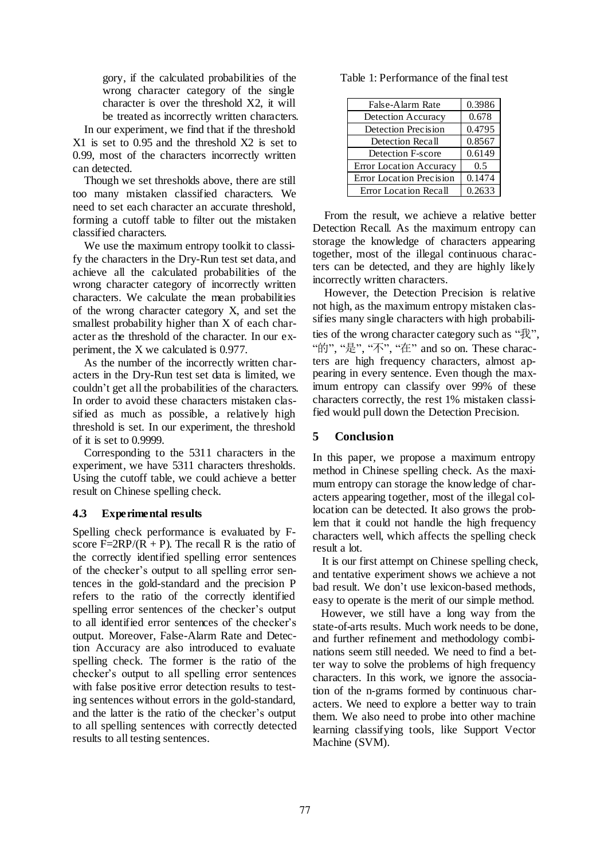gory, if the calculated probabilities of the wrong character category of the single character is over the threshold X2, it will be treated as incorrectly written characters.

In our experiment, we find that if the threshold X1 is set to 0.95 and the threshold X2 is set to 0.99, most of the characters incorrectly written can detected.

Though we set thresholds above, there are still too many mistaken classified characters. We need to set each character an accurate threshold, forming a cutoff table to filter out the mistaken classified characters.

We use the maximum entropy toolkit to classify the characters in the Dry-Run test set data, and achieve all the calculated probabilities of the wrong character category of incorrectly written characters. We calculate the mean probabilities of the wrong character category X, and set the smallest probability higher than X of each character as the threshold of the character. In our experiment, the X we calculated is 0.977.

As the number of the incorrectly written characters in the Dry-Run test set data is limited, we couldn't get all the probabilities of the characters. In order to avoid these characters mistaken classified as much as possible, a relatively high threshold is set. In our experiment, the threshold of it is set to 0.9999.

Corresponding to the 5311 characters in the experiment, we have 5311 characters thresholds. Using the cutoff table, we could achieve a better result on Chinese spelling check.

### **4.3 Experimental results**

Spelling check performance is evaluated by Fscore F=2RP/(R + P). The recall R is the ratio of the correctly identified spelling error sentences of the checker's output to all spelling error sentences in the gold-standard and the precision P refers to the ratio of the correctly identified spelling error sentences of the checker's output to all identified error sentences of the checker's output. Moreover, False-Alarm Rate and Detection Accuracy are also introduced to evaluate spelling check. The former is the ratio of the checker's output to all spelling error sentences with false positive error detection results to testing sentences without errors in the gold-standard, and the latter is the ratio of the checker's output to all spelling sentences with correctly detected results to all testing sentences.

Table 1: Performance of the final test

| False-Alarm Rate          | 0.3986 |
|---------------------------|--------|
| <b>Detection Accuracy</b> | 0.678  |
| Detection Precision       | 0.4795 |
| Detection Recall          | 0.8567 |
| Detection F-score         | 0.6149 |
| Error Location Accuracy   | 0.5    |
| Error Location Precision  | 0.1474 |
| Error Location Recall     | 0.2633 |

From the result, we achieve a relative better Detection Recall. As the maximum entropy can storage the knowledge of characters appearing together, most of the illegal continuous characters can be detected, and they are highly likely incorrectly written characters.

However, the Detection Precision is relative not high, as the maximum entropy mistaken classifies many single characters with high probabilities of the wrong character category such as "我", "的", "是", "不", "在" and so on. These characters are high frequency characters, almost appearing in every sentence. Even though the maximum entropy can classify over 99% of these characters correctly, the rest 1% mistaken classified would pull down the Detection Precision.

## **5 Conclusion**

In this paper, we propose a maximum entropy method in Chinese spelling check. As the maximum entropy can storage the knowledge of characters appearing together, most of the illegal collocation can be detected. It also grows the problem that it could not handle the high frequency characters well, which affects the spelling check result a lot.

 It is our first attempt on Chinese spelling check, and tentative experiment shows we achieve a not bad result. We don't use lexicon-based methods, easy to operate is the merit of our simple method.

However, we still have a long way from the state-of-arts results. Much work needs to be done, and further refinement and methodology combinations seem still needed. We need to find a better way to solve the problems of high frequency characters. In this work, we ignore the association of the n-grams formed by continuous characters. We need to explore a better way to train them. We also need to probe into other machine learning classifying tools, like Support Vector Machine (SVM).